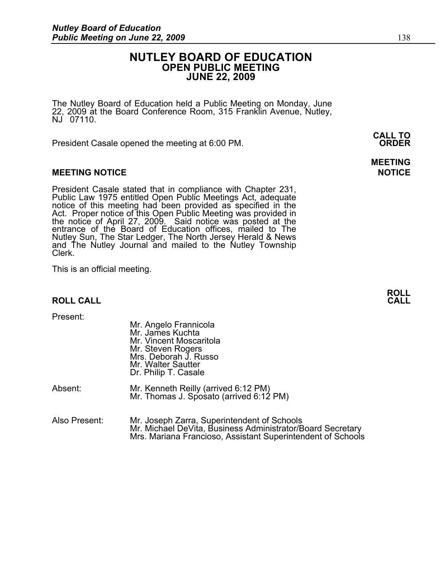# **NUTLEY BOARD OF EDUCATION OPEN PUBLIC MEETING JUNE 22, 2009**

The Nutley Board of Education held a Public Meeting on Monday, June 22, 2009 at the Board Conference Room, 315 Franklin Avenue, Nutley, NJ 07110.

 **CALL TO**  President Casale opened the meeting at 6:00 PM. **ORDER**

### **MEETING NOTICE NOTICE REPORTS AND ALCOHOL**

President Casale stated that in compliance with Chapter 231, Public Law 1975 entitled Open Public Meetings Act, adequate notice of this meeting had been provided as specified in the Act. Proper notice of this Open Public Meeting was provided in the notice of April 27, 2009. Said notice was posted at the entrance of the Board of Education offices, mailed to The Nutley Sun, The Star Ledger, The North Jersey Herald & News and The Nutley Journal and mailed to the Nutley Township Clerk.

This is an official meeting.

### **ROLL CALL**

Present:

|               | Mr. Angelo Frannicola<br>Mr. James Kuchta<br>Mr. Vincent Moscaritola<br>Mr. Steven Rogers<br>Mrs. Deborah J. Russo<br>Mr. Walter Sautter<br>Dr. Philip T. Casale         |
|---------------|--------------------------------------------------------------------------------------------------------------------------------------------------------------------------|
| Absent:       | Mr. Kenneth Reilly (arrived 6:12 PM)<br>Mr. Thomas J. Sposato (arrived 6:12 PM)                                                                                          |
| Also Present: | Mr. Joseph Zarra, Superintendent of Schools<br>Mr. Michael DeVita, Business Administrator/Board Secretary<br>Mrs. Mariana Francioso, Assistant Superintendent of Schools |

# **MEETING**

**ROLL**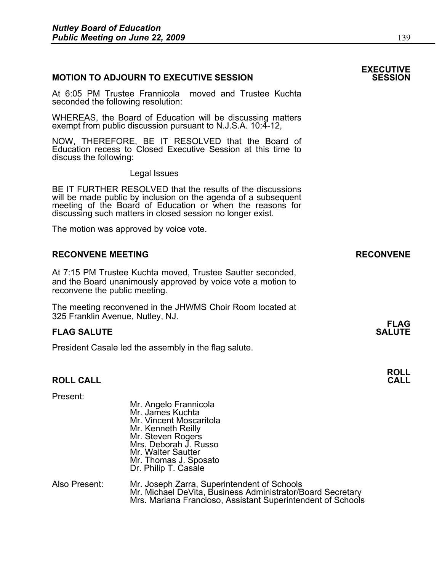### **MOTION TO ADJOURN TO EXECUTIVE SESSION**

At 6:05 PM Trustee Frannicola moved and Trustee Kuchta seconded the following resolution:

WHEREAS, the Board of Education will be discussing matters exempt from public discussion pursuant to N.J.S.A. 10:4-12,

NOW, THEREFORE, BE IT RESOLVED that the Board of Education recess to Closed Executive Session at this time to discuss the following:

Legal Issues

BE IT FURTHER RESOLVED that the results of the discussions will be made public by inclusion on the agenda of a subsequent meeting of the Board of Education or when the reasons for discussing such matters in closed session no longer exist.

The motion was approved by voice vote.

#### **RECONVENE MEETING RECONVENE**

At 7:15 PM Trustee Kuchta moved, Trustee Sautter seconded, and the Board unanimously approved by voice vote a motion to reconvene the public meeting.

The meeting reconvened in the JHWMS Choir Room located at 325 Franklin Avenue, Nutley, NJ.

#### **FLAG SALUTE** SALUTE SALUTE SALUTE SALUTE SALUTE SALUTE SALUTE SALUTE SALUTE SALUTE SALUTE SALUTE SALUTE SALUTE SALUTE SALUTE SALUTE SALUTE SALUTE SALUTE SALUTE SALUTE SALUTE SALUTE SALUTE SALUTE SALUTE SALUTE SALUTE SALUT

President Casale led the assembly in the flag salute.

#### **ROLL CALL CALL**

| Present:      | Mr. Angelo Frannicola<br>Mr. James Kuchta<br>Mr. Vincent Moscaritola<br>Mr. Kenneth Reilly<br>Mr. Steven Rogers<br>Mrs. Deborah J. Russo<br>Mr. Walter Sautter |
|---------------|----------------------------------------------------------------------------------------------------------------------------------------------------------------|
|               | Mr. Thomas J. Sposato<br>Dr. Philip T. Casale                                                                                                                  |
| Aloo Drooppti | Mr. Joseph Zerra, Cuperintendent of Cebeolo                                                                                                                    |

| Also Present: | Mr. Joseph Zarra, Superintendent of Schools                 |
|---------------|-------------------------------------------------------------|
|               | Mr. Michael DeVita, Business Administrator/Board Secretary  |
|               | Mrs. Mariana Francioso, Assistant Superintendent of Schools |

# **EXECUTIVE**

# **FLAG**

**ROLL**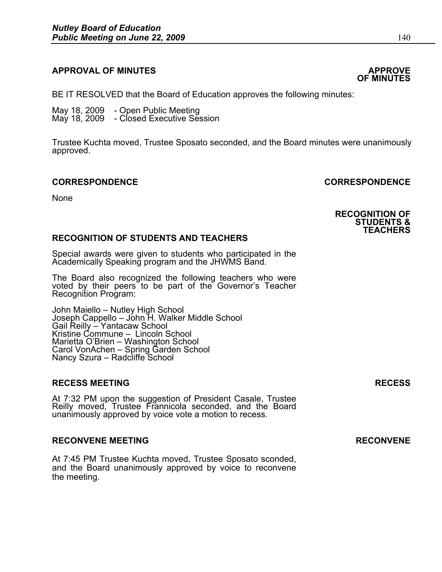# **APPROVAL OF MINUTES APPROVE**

BE IT RESOLVED that the Board of Education approves the following minutes:

 May 18, 2009 - Open Public Meeting May 18, 2009 - Closed Executive Session

> Trustee Kuchta moved, Trustee Sposato seconded, and the Board minutes were unanimously approved.

## **CORRESPONDENCE CORRESPONDENCE**

None

### **RECOGNITION OF STUDENTS AND TEACHERS**

Special awards were given to students who participated in the Academically Speaking program and the JHWMS Band.

The Board also recognized the following teachers who were voted by their peers to be part of the Governor's Teacher Recognition Program:

John Maiello – Nutley High School Joseph Cappello – John H. Walker Middle School Gail Reilly – Yantacaw School Kristine Commune – Lincoln School Marietta O'Brien – Washington School Carol VonAchen – Spring Garden School Nancy Szura – Radcliffe School

### **RECESS MEETING RECESS**

At 7:32 PM upon the suggestion of President Casale, Trustee Reilly moved, Trustee Frannicola seconded, and the Board unanimously approved by voice vote a motion to recess.

## RECONVENE MEETING **RECONVENE**

At 7:45 PM Trustee Kuchta moved, Trustee Sposato sconded, and the Board unanimously approved by voice to reconvene the meeting.

**RECOGNITION OF STUDENTS & TEACHERS** 

# **OF MINUTES**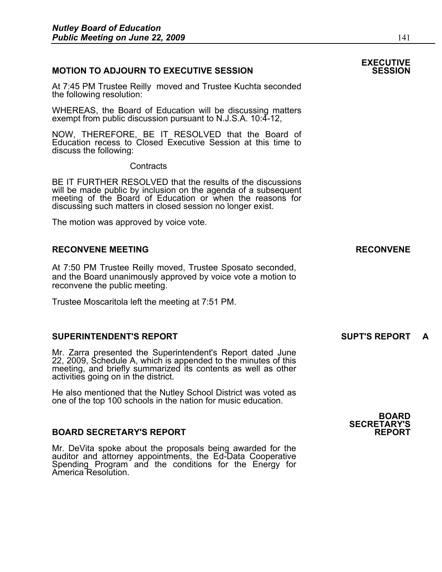### **MOTION TO ADJOURN TO EXECUTIVE SESSION**

At 7:45 PM Trustee Reilly moved and Trustee Kuchta seconded the following resolution:

WHEREAS, the Board of Education will be discussing matters exempt from public discussion pursuant to N.J.S.A. 10:4-12,

NOW, THEREFORE, BE IT RESOLVED that the Board of Education recess to Closed Executive Session at this time to discuss the following:

**Contracts** 

BE IT FURTHER RESOLVED that the results of the discussions will be made public by inclusion on the agenda of a subsequent meeting of the Board of Education or when the reasons for discussing such matters in closed session no longer exist.

The motion was approved by voice vote.

#### **RECONVENE MEETING RECONVENE**

At 7:50 PM Trustee Reilly moved, Trustee Sposato seconded, and the Board unanimously approved by voice vote a motion to reconvene the public meeting.

Trustee Moscaritola left the meeting at 7:51 PM.

#### **SUPERINTENDENT'S REPORT SUPT'S REPORT**

Mr. Zarra presented the Superintendent's Report dated June 22, 2009, Schedule A, which is appended to the minutes of this meeting, and briefly summarized its contents as well as other activities going on in the district.

He also mentioned that the Nutley School District was voted as one of the top 100 schools in the nation for music education.

#### **BOARD SECRETARY'S REPORT**

Mr. DeVita spoke about the proposals being awarded for the auditor and attorney appointments, the Ed-Data Cooperative Spending Program and the conditions for the Energy for America Resolution.

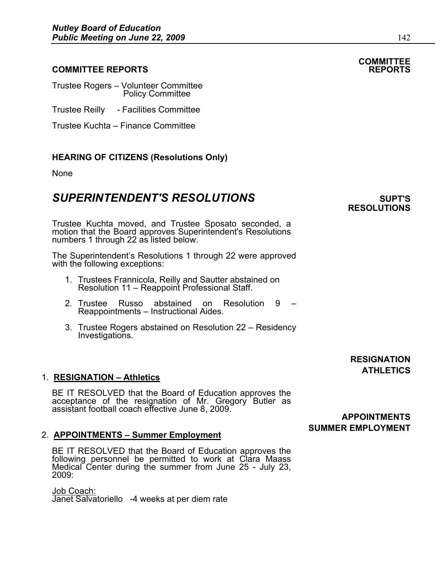## **COMMITTEE REPORTS REPORTS**

Trustee Rogers – Volunteer Committee Policy Committee

Trustee Reilly - Facilities Committee

Trustee Kuchta – Finance Committee

### **HEARING OF CITIZENS (Resolutions Only)**

None

# **SUPERINTENDENT'S RESOLUTIONS SUPERINTENDENT'S**

Trustee Kuchta moved, and Trustee Sposato seconded, a motion that the Board approves Superintendent's Resolutions numbers 1 through 22 as listed below.

The Superintendent's Resolutions 1 through 22 were approved with the following exceptions:

- 1. Trustees Frannicola, Reilly and Sautter abstained on Resolution 11 Reappoint Professional Staff.
- 2. Trustee Russo abstained on Resolution 9 Reappointments – Instructional Aides.
- 3. Trustee Rogers abstained on Resolution 22 Residency Investigations.

### 1. **RESIGNATION – Athletics**

BE IT RESOLVED that the Board of Education approves the acceptance of the resignation of Mr. Gregory Butler as assistant football coach effective June 8, 2009.

#### 2. **APPOINTMENTS – Summer Employment**

BE IT RESOLVED that the Board of Education approves the following personnel be permitted to work at Clara Maass Medical Center during the summer from June 25 - July 23,<br>2009:

Job Coach: Janet Salvatoriello -4 weeks at per diem rate **RESIGNATION ATHLETICS** 

# **COMMITTEE**

### **APPOINTMENTS SUMMER EMPLOYMENT**

# **RESOLUTIONS**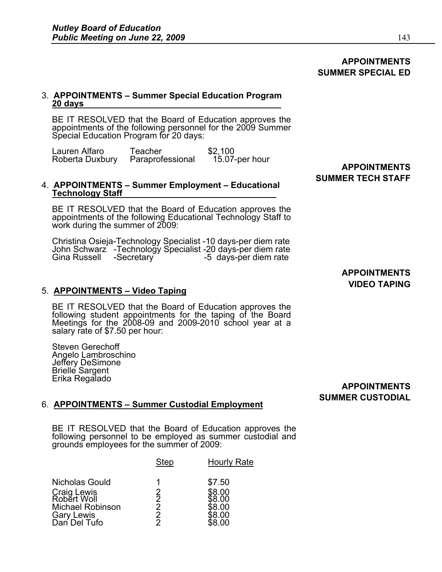## **APPOINTMENTS SUMMER SPECIAL ED**

#### 3. **APPOINTMENTS – Summer Special Education Program 20 days**

BE IT RESOLVED that the Board of Education approves the appointments of the following personnel for the 2009 Summer Special Education Program for 20 days:

| Lauren Alfaro   | Teacher          | \$2.100        |                     |
|-----------------|------------------|----------------|---------------------|
| Roberta Duxbury | Paraprofessional | 15.07-per hour |                     |
|                 |                  |                | <b>APPOINTMENTS</b> |

#### 4. **APPOINTMENTS – Summer Employment – Educational Technology Staff**

BE IT RESOLVED that the Board of Education approves the appointments of the following Educational Technology Staff to work during the summer of 2009:

Christina Osieja-Technology Specialist -10 days-per diem rate John Schwarz -Technology Specialist -20 days-per diem rate Gina Russell -Secretary -5 days-per diem rate

5. **APPOINTMENTS – Video Taping** BE IT RESOLVED that the Board of Education approves the following student appointments for the taping of the Board Meetings for the 2008-09 and 2009-2010 school year at a salary rate of \$7.50 per hour:

Steven Gerechoff Angelo Lambroschino Jeffery DeSimone Brielle Sargent<br>Erika Regalado

# **SUMMER TECH STAFF**

**APPOINTMENTS VIDEO TAPING** 

Erika Regalado **APPOINTMENTS SUMMER CUSTODIAL** 

### 6. **APPOINTMENTS – Summer Custodial Employment**

BE IT RESOLVED that the Board of Education approves the following personnel to be employed as summer custodial and grounds employees for the summer of 2009: Ì

|                                              | <b>Step</b>        | <b>Hourly Rate</b> |
|----------------------------------------------|--------------------|--------------------|
| Nicholas Gould                               | 1                  | \$7.50             |
| Craig Lewis<br>Robert Woll                   | $\bar{2}$          | \$8.00<br>38.OO    |
| <b>Michael Robinson</b><br><b>Gary Lewis</b> | 2<br>$\mathcal{P}$ | \$8.00<br>\$8.00   |
| Dan Del Tufo                                 |                    | 68 NO              |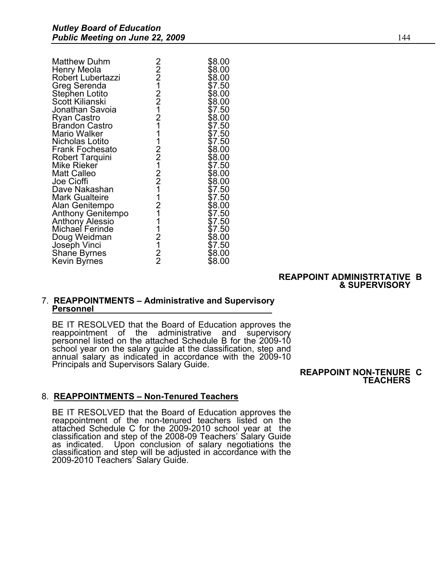| <b>Matthew Duhm</b>    |                            | \$8.00 |
|------------------------|----------------------------|--------|
| Henry Meola            |                            | \$8.00 |
| Robert Lubertazzi      |                            | \$8.00 |
| Greg Serenda           |                            | \$7.50 |
| Stephen Lotito         |                            | \$8.00 |
| Scott Kilianski        |                            | \$8.00 |
| Jonathan Savoia        |                            | \$7.50 |
| Ryan Castro            |                            | \$8.00 |
| <b>Brandon Castro</b>  |                            | \$7.50 |
| Mario Walker           |                            | \$7.50 |
| Nicholas Lotito        |                            | \$7.50 |
| <b>Frank Fochesato</b> |                            | \$8.00 |
| <b>Robert Tarquini</b> |                            | \$8.00 |
| Mike Rieker            |                            | \$7.50 |
| <b>Matt Calleo</b>     |                            | \$8.00 |
| Joe Cioffi             |                            | \$8.00 |
| Dave Nakashan          |                            | \$7.50 |
| <b>Mark Gualteire</b>  |                            | \$7.50 |
| Alan Genitempo         |                            | \$8.00 |
| Anthony Genitempo      |                            | \$7.50 |
| Anthony Alessio        |                            | \$7.50 |
| Michael Ferinde        |                            | \$7.50 |
| Doug Weidman           |                            | \$8.00 |
| Joseph Vinci           |                            | \$7.50 |
| Shane Byrnes           | 22212212111221221121112122 | \$8.00 |
| Kevin Byrnes           |                            | \$8.00 |

#### **REAPPOINT ADMINISTRTATIVE B & SUPERVISORY**

#### 7. **REAPPOINTMENTS – Administrative and Supervisory Personnel**

BE IT RESOLVED that the Board of Education approves the reappointment of the administrative and supervisory personnel listed on the attached Schedule B for the 2009-10 school year on the salary guide at the classification, step and annual salary as indicated in accordance with the 2009-10 Principals and Supervisors Salary Guide. **REAPPOINT NON-TENURE C** 

# **TEACHERS**

## 8. **REAPPOINTMENTS – Non-Tenured Teachers**

BE IT RESOLVED that the Board of Education approves the reappointment of the non-tenured teachers listed on the attached Schedule C for the 2009-2010 school year at the classification and step of the 2008-09 Teachers' Salary Guide Upon conclusion of salary negotiations the classification and step will be adjusted in accordance with the 2009-2010 Teachers' Salary Guide.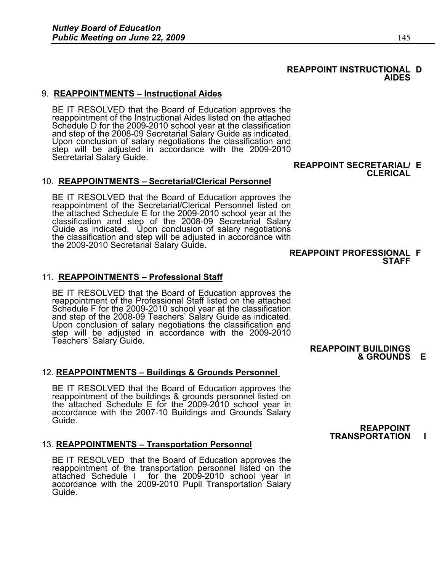# 9. **REAPPOINTMENTS – Instructional Aides**

BE IT RESOLVED that the Board of Education approves the reappointment of the Instructional Aides listed on the attached Schedule D for the 2009-2010 school year at the classification and step of the 2008-09 Secretarial Salary Guide as indicated. Upon conclusion of salary negotiations the classification and step will be adjusted in accordance with the 2009-2010<br>Secretarial Salary Guide.

## 10. **REAPPOINTMENTS – Secretarial/Clerical Personnel**

BE IT RESOLVED that the Board of Education approves the reappointment of the Secretarial/Clerical Personnel listed on the attached Schedule E for the 2009-2010 school year at the classification and step of the 2008-09 Secretarial Salary Guide as indicated. Upon conclusion of salary negotiations the classification and step will be adjusted in accordance with the 2009-2010 Secretarial Salary Guide. **REAPPOINT PROFESSIONAL F** 

### 11. **REAPPOINTMENTS – Professional Staff**

BE IT RESOLVED that the Board of Education approves the reappointment of the Professional Staff listed on the attached Schedule F for the 2009-2010 school year at the classification and step of the 2008-09 Teachers' Salary Guide as indicated. Upon conclusion of salary negotiations the classification and step will be adjusted in accordance with the 2009-2010<br>Teachers' Salary Guide.

## 12. **REAPPOINTMENTS – Buildings & Grounds Personnel**

BE IT RESOLVED that the Board of Education approves the reappointment of the buildings & grounds personnel listed on the attached Schedule E for the 2009-2010 school year in accordance with the 2007-10 Buildings and Grounds Salary Guide.

### 13. **REAPPOINTMENTS – Transportation Personnel**

BE IT RESOLVED that the Board of Education approves the reappointment of the transportation personnel listed on the attached Schedule I for the 2009-2010 school year in accordance with the 2009-2010 Pupil Transportation Salary Guide.

**REAPPOINT BUILDINGS** 

**STAFF** 

**& GROUNDS E** 

#### **REAPPOINT TRANSPORTATION I**

#### **REAPPOINT SECRETARIAL/ E CLERICAL**

#### **REAPPOINT INSTRUCTIONAL D AIDES**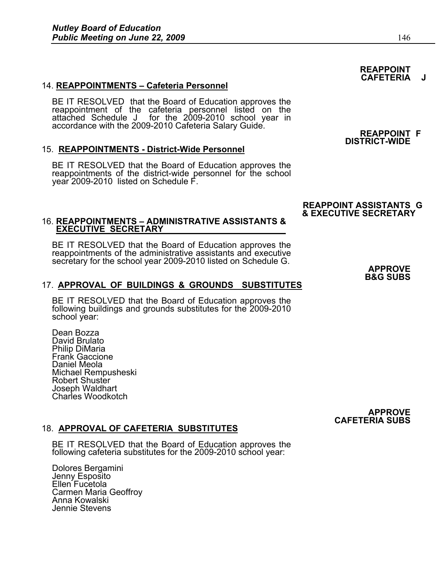# 14. **REAPPOINTMENTS – Cafeteria Personnel**

BE IT RESOLVED that the Board of Education approves the reappointment of the cafeteria personnel listed on the attached Schedule J for the 2009-2010 school year in accordance with the 2009-2010 Cafeteria Salary Guide. **REAPPOINT F** 

# 15. **REAPPOINTMENTS - District-Wide Personnel**

BE IT RESOLVED that the Board of Education approves the reappointments of the district-wide personnel for the school year 2009-2010 listed on Schedule F.

# 16. **REAPPOINTMENTS – ADMINISTRATIVE ASSISTANTS & EXECUTIVE SECRETARY**

BE IT RESOLVED that the Board of Education approves the reappointments of the administrative assistants and executive secretary for the school year 2009-2010 listed on Schedule G. **APPROVE** 

# 17. **APPROVAL OF BUILDINGS & GROUNDS SUBSTITUTES**

BE IT RESOLVED that the Board of Education approves the following buildings and grounds substitutes for the 2009-2010 school year:

Dean Bozza David Brulato Philip DiMaria Frank Gaccione Daniel Meola Michael Rempusheski Robert Shuster Joseph Waldhart Charles Woodkotch

# 18. **APPROVAL OF CAFETERIA SUBSTITUTES**

BE IT RESOLVED that the Board of Education approves the following cafeteria substitutes for the 2009-2010 school year:

Dolores Bergamini Jenny Esposito Ellen Fucetola Carmen Maria Geoffroy Anna Kowalski Jennie Stevens

# **REAPPOINT CAFETERIA J**

# **DISTRICT-WIDE**

## **REAPPOINT ASSISTANTS G & EXECUTIVE SECRETARY**

# **B&G SUBS**

#### **APPROVE CAFETERIA SUBS**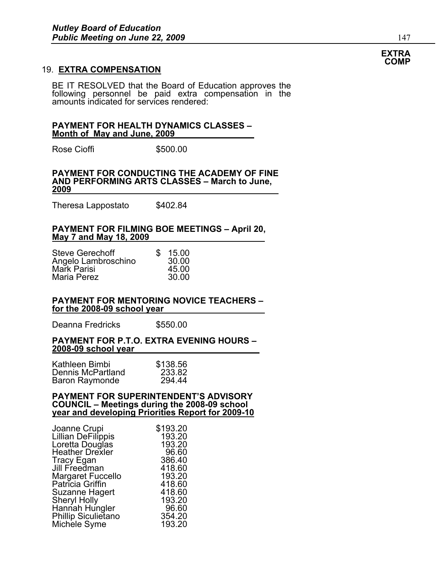#### 19. **EXTRA COMPENSATION**

BE IT RESOLVED that the Board of Education approves the following personnel be paid extra compensation in the amounts indicated for services rendered:

#### **PAYMENT FOR HEALTH DYNAMICS CLASSES – Month of May and June, 2009**

Rose Cioffi 5500.00

#### **PAYMENT FOR CONDUCTING THE ACADEMY OF FINE AND PERFORMING ARTS CLASSES – March to June, 2009**

Theresa Lappostato \$402.84

#### **PAYMENT FOR FILMING BOE MEETINGS – April 20, May 7 and May 18, 2009**

| <b>Steve Gerechoff</b><br>Angelo Lambroschino | £. | 15.00<br>30.00 |
|-----------------------------------------------|----|----------------|
| Mark Parisi                                   |    | 45.00          |
| Maria Perez                                   |    | 30.00          |

#### **PAYMENT FOR MENTORING NOVICE TEACHERS – for the 2008-09 school year**

Deanna Fredricks \$550.00

#### **PAYMENT FOR P.T.O. EXTRA EVENING HOURS – 2008-09 school year**

| Kathleen Bimbi    | \$138.56 |
|-------------------|----------|
| Dennis McPartland | 233.82   |
| Baron Raymonde    | 294.44   |

#### **PAYMENT FOR SUPERINTENDENT'S ADVISORY COUNCIL – Meetings during the 2008-09 school year and developing Priorities Report for 2009-10**

| Joanne Crupi                | \$193.20 |
|-----------------------------|----------|
| <b>Lillian DeFilippis</b>   | 193.20   |
| Loretta Douglas             | 193.20   |
| <b>Heather Drexler</b>      | 96.60    |
| Tracy Egan<br>Jill Freedman | 386.40   |
|                             | 418.60   |
| Margaret Fuccello           | 193.20   |
| Patricia Griffin            | 418.60   |
| Suzanne Hagert              | 418.60   |
| <b>Sheryl Holly</b>         | 193.20   |
| Hannah Hungler              | 96.60    |
| Phillip Siculietano         | 354.20   |
| Michele Syme                | 193.20   |

#### **EXTRA COMP**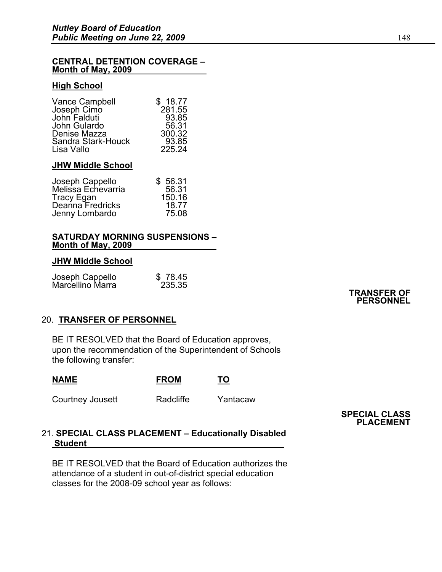#### **CENTRAL DETENTION COVERAGE – Month of May, 2009**

#### **High School**

| <b>Vance Campbell</b> | \$18.77 |
|-----------------------|---------|
| Joseph Cimo           | 281.55  |
| John Falduti          | 93.85   |
| John Gulardo          | 56.31   |
| Denise Mazza          | 300.32  |
| Sandra Stark-Houck    | 93.85   |
| Lisa Vallo            | 225.24  |

#### **JHW Middle School**

| Joseph Cappello<br>Melissa Echevarria | \$56.31 |
|---------------------------------------|---------|
|                                       | 56.31   |
| <b>Tracy Egan</b>                     | 150.16  |
| Deanna Fredricks                      | 18.77   |
| Jenny Lombardo                        | 75.08   |

#### **SATURDAY MORNING SUSPENSIONS – Month of May, 2009**

#### **JHW Middle School**

|                                     | \$78.45 |
|-------------------------------------|---------|
| Joseph Cappello<br>Marcellino Marra | 235.35  |

#### **TRANSFER OF PERSONNEL**

### 20. **TRANSFER OF PERSONNEL**

BE IT RESOLVED that the Board of Education approves, upon the recommendation of the Superintendent of Schools the following transfer:

| <b>NAME</b> |  |  | <b>FROM</b> | TO  |
|-------------|--|--|-------------|-----|
|             |  |  | .           | - - |

Courtney Jousett **Radcliffe** Yantacaw

**SPECIAL CLASS PLACEMENT**

### 21. **SPECIAL CLASS PLACEMENT – Educationally Disabled Student**

BE IT RESOLVED that the Board of Education authorizes the attendance of a student in out-of-district special education classes for the 2008-09 school year as follows: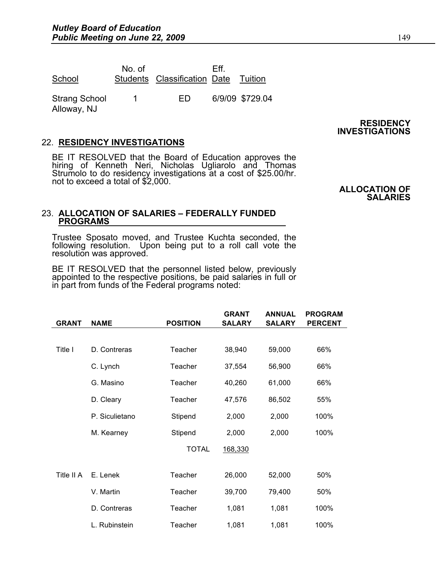| School                              | No. of | Students Classification Date | Fff | Tuition         |
|-------------------------------------|--------|------------------------------|-----|-----------------|
| <b>Strang School</b><br>Alloway, NJ | 1      | ED.                          |     | 6/9/09 \$729.04 |

## 22. **RESIDENCY INVESTIGATIONS**

BE IT RESOLVED that the Board of Education approves the hiring of Kenneth Neri, Nicholas Ugliarolo and Thomas Strumolo to do residency investigations at a cost of \$25.00/hr. not to exceed a total of \$2,000.

## 23. **ALLOCATION OF SALARIES – FEDERALLY FUNDED PROGRAMS**

Trustee Sposato moved, and Trustee Kuchta seconded, the following resolution. Upon being put to a roll call vote the resolution was approved.

BE IT RESOLVED that the personnel listed below, previously appointed to the respective positions, be paid salaries in full or in part from funds of the Federal programs noted:

|              |                |                 | <b>GRANT</b>  | <b>ANNUAL</b> | <b>PROGRAM</b> |
|--------------|----------------|-----------------|---------------|---------------|----------------|
| <b>GRANT</b> | <b>NAME</b>    | <b>POSITION</b> | <b>SALARY</b> | <b>SALARY</b> | <b>PERCENT</b> |
|              |                |                 |               |               |                |
| Title I      | D. Contreras   | Teacher         | 38,940        | 59,000        | 66%            |
|              | C. Lynch       | Teacher         | 37,554        | 56,900        | 66%            |
|              | G. Masino      | Teacher         | 40,260        | 61,000        | 66%            |
|              | D. Cleary      | Teacher         | 47,576        | 86,502        | 55%            |
|              | P. Siculietano | Stipend         | 2,000         | 2,000         | 100%           |
|              | M. Kearney     | Stipend         | 2,000         | 2,000         | 100%           |
|              |                | <b>TOTAL</b>    | 168,330       |               |                |
|              |                |                 |               |               |                |
| Title II A   | E. Lenek       | Teacher         | 26,000        | 52,000        | 50%            |
|              | V. Martin      | Teacher         | 39,700        | 79,400        | 50%            |
|              | D. Contreras   | Teacher         | 1,081         | 1,081         | 100%           |
|              | L. Rubinstein  | Teacher         | 1,081         | 1,081         | 100%           |

#### **RESIDENCY INVESTIGATIONS**

**ALLOCATION OF** 

**SALARIES**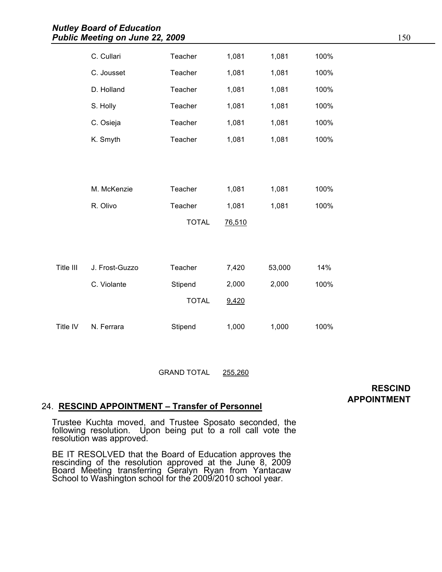|           | C. Cullari     | Teacher      | 1,081  | 1,081  | 100% |
|-----------|----------------|--------------|--------|--------|------|
|           | C. Jousset     | Teacher      | 1,081  | 1,081  | 100% |
|           | D. Holland     | Teacher      | 1,081  | 1,081  | 100% |
|           | S. Holly       | Teacher      | 1,081  | 1,081  | 100% |
|           | C. Osieja      | Teacher      | 1,081  | 1,081  | 100% |
|           | K. Smyth       | Teacher      | 1,081  | 1,081  | 100% |
|           |                |              |        |        |      |
|           |                |              |        |        |      |
|           | M. McKenzie    | Teacher      | 1,081  | 1,081  | 100% |
|           | R. Olivo       | Teacher      | 1,081  | 1,081  | 100% |
|           |                | <b>TOTAL</b> | 76,510 |        |      |
|           |                |              |        |        |      |
|           |                |              |        |        |      |
| Title III | J. Frost-Guzzo | Teacher      | 7,420  | 53,000 | 14%  |
|           | C. Violante    | Stipend      | 2,000  | 2,000  | 100% |
|           |                | <b>TOTAL</b> | 9,420  |        |      |
| Title IV  | N. Ferrara     | Stipend      | 1,000  | 1,000  | 100% |
|           |                |              |        |        |      |

GRAND TOTAL 255,260

## **RESCIND APPOINTMENT**

# 24. **RESCIND APPOINTMENT – Transfer of Personnel**

Trustee Kuchta moved, and Trustee Sposato seconded, the following resolution. Upon being put to a roll call vote the resolution was approved.

BE IT RESOLVED that the Board of Education approves the rescinding of the resolution approved at the June 8, 2009 Board Meeting transferring Geralyn Ryan from Yantacaw School to Washington school for the 2009/2010 school year.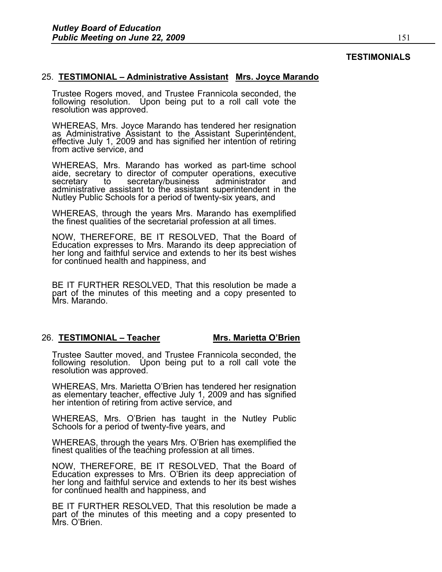#### **TESTIMONIALS**

#### 25. **TESTIMONIAL – Administrative Assistant Mrs. Joyce Marando**

Trustee Rogers moved, and Trustee Frannicola seconded, the following resolution. Upon being put to a roll call vote the resolution was approved.

WHEREAS, Mrs. Joyce Marando has tendered her resignation as Administrative Assistant to the Assistant Superintendent, effective July 1, 2009 and has signified her intention of retiring from active service, and

WHEREAS, Mrs. Marando has worked as part-time school aide, secretary to director of computer operations, executive secretary to secretary/business administrator and administrative assistant to the assistant superintendent in the Nutley Public Schools for a period of twenty-six years, and

WHEREAS, through the years Mrs. Marando has exemplified the finest qualities of the secretarial profession at all times.

NOW, THEREFORE, BE IT RESOLVED, That the Board of Education expresses to Mrs. Marando its deep appreciation of her long and faithful service and extends to her its best wishes for continued health and happiness, and

BE IT FURTHER RESOLVED, That this resolution be made a part of the minutes of this meeting and a copy presented to Mrs. Marando.

### 26. **TESTIMONIAL – Teacher Mrs. Marietta O'Brien**

Trustee Sautter moved, and Trustee Frannicola seconded, the following resolution. Upon being put to a roll call vote the resolution was approved.

WHEREAS, Mrs. Marietta O'Brien has tendered her resignation as elementary teacher, effective July 1, 2009 and has signified her intention of retiring from active service, and

WHEREAS, Mrs. O'Brien has taught in the Nutley Public Schools for a period of twenty-five years, and

WHEREAS, through the years Mrs. O'Brien has exemplified the finest qualities of the teaching profession at all times.

NOW, THEREFORE, BE IT RESOLVED, That the Board of Education expresses to Mrs. O'Brien its deep appreciation of her long and faithful service and extends to her its best wishes for continued health and happiness, and

BE IT FURTHER RESOLVED, That this resolution be made a part of the minutes of this meeting and a copy presented to Mrs. O'Brien.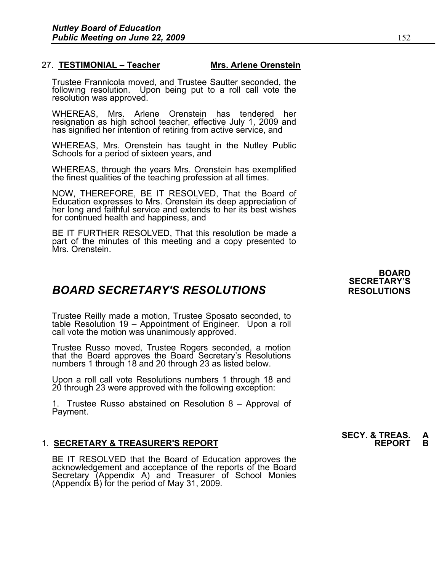### 27. **TESTIMONIAL – Teacher Mrs. Arlene Orenstein**

Trustee Frannicola moved, and Trustee Sautter seconded, the following resolution. Upon being put to a roll call vote the resolution was approved.

WHEREAS, Mrs. Arlene Orenstein has tendered her resignation as high school teacher, effective July 1, 2009 and has signified her intention of retiring from active service, and

WHEREAS, Mrs. Orenstein has taught in the Nutley Public Schools for a period of sixteen years, and

WHEREAS, through the years Mrs. Orenstein has exemplified the finest qualities of the teaching profession at all times.

NOW, THEREFORE, BE IT RESOLVED, That the Board of Education expresses to Mrs. Orenstein its deep appreciation of her long and faithful service and extends to her its best wishes for continued health and happiness, and

BE IT FURTHER RESOLVED, That this resolution be made a part of the minutes of this meeting and a copy presented to Mrs. Orenstein.

# *BOARD SECRETARY'S RESOLUTIONS* **RESOLUTIONS**

Trustee Reilly made a motion, Trustee Sposato seconded, to table Resolution 19 – Appointment of Engineer. Upon a roll call vote the motion was unanimously approved.

Trustee Russo moved, Trustee Rogers seconded, a motion that the Board approves the Board Secretary's Resolutions numbers 1 through 18 and 20 through 23 as listed below.

Upon a roll call vote Resolutions numbers 1 through 18 and 20 through 23 were approved with the following exception:

1. Trustee Russo abstained on Resolution 8 – Approval of Payment.

### 1. **SECRETARY & TREASURER'S REPORT REPORT B**

BE IT RESOLVED that the Board of Education approves the acknowledgement and acceptance of the reports of the Board Secretary (Appendix A) and Treasurer of School Monies (Appendix B) for the period of May 31, 2009.

**BOARD SECRETARY'S** 

**SECY. & TREAS.**<br>REPORT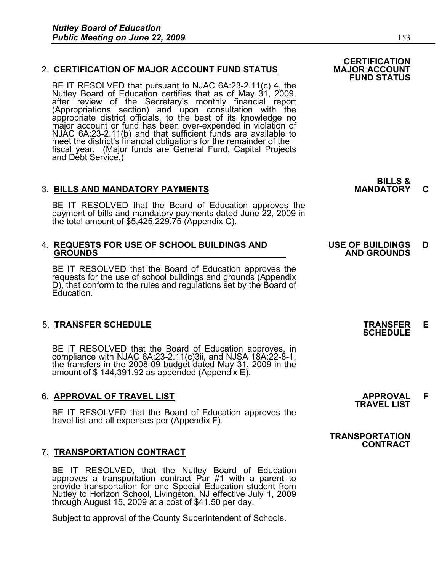### 2. **CERTIFICATION OF MAJOR ACCOUNT FUND STATUS**

BE IT RESOLVED that pursuant to NJAC 6A:23-2.11(c) 4, the Nutley Board of Education certifies that as of May 31, 2009, after review of the Secretary's monthly financial report (Appropriations section) and upon consultation with the appropriate district officials, to the best of its knowledge no major account or fund has been over-expended in violation of NJAC 6A:23-2.11(b) and that sufficient funds are available to meet the district's financial obligations for the remainder of the fiscal year. (Major funds are General Fund, Capital Projects and Debt Service.)

### 3. **BILLS AND MANDATORY PAYMENTS MANDATORY C**

BE IT RESOLVED that the Board of Education approves the payment of bills and mandatory payments dated June 22, 2009 in the total amount of \$5,425,229.75 (Appendix C).

# 4. **REQUESTS FOR USE OF SCHOOL BUILDINGS AND USE OF BUILDINGS D**

BE IT RESOLVED that the Board of Education approves the requests for the use of school buildings and grounds (Appendix D), that conform to the rules and regulations set by the Board of Education.

# 5. **TRANSFER SCHEDULE TRANSFER E SCHEDULE**

BE IT RESOLVED that the Board of Education approves, in compliance with NJAC 6A:23-2.11(c)3ii, and NJSA 18A:22-8-1, the transfers in the 2008-09 budget dated May 31, 2009 in the amount of \$ 144,391.92 as appended (Appendix E).

# 6. **APPROVAL OF TRAVEL LIST APPROVAL F TRAVEL LIST**

BE IT RESOLVED that the Board of Education approves the travel list and all expenses per (Appendix F).

## 7. **TRANSPORTATION CONTRACT**

BE IT RESOLVED, that the Nutley Board of Education approves a transportation contract Par #1 with a parent to provide transportation for one Special Education student from Nutley to Horizon School, Livingston, NJ effective July 1, 2009 through August 15, 2009 at a cost of \$41.50 per day.

Subject to approval of the County Superintendent of Schools.

**BILLS &** 

# **GROUNDS AND GROUNDS**

#### **TRANSPORTATION CONTRACT**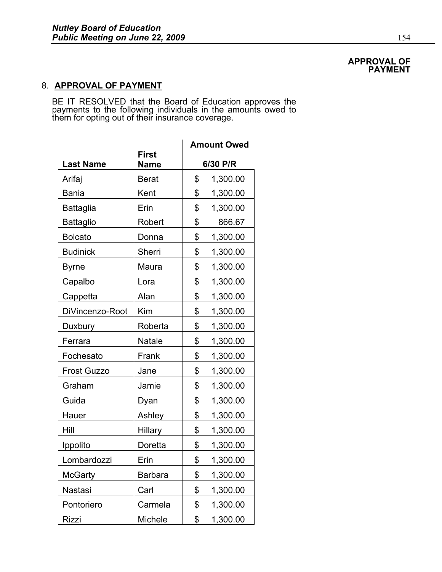#### **APPROVAL OF PAYMENT**

# 8. **APPROVAL OF PAYMENT**

BE IT RESOLVED that the Board of Education approves the payments to the following individuals in the amounts owed to them for opting out of their insurance coverage.

|                    |                             | <b>Amount Owed</b> |          |  |
|--------------------|-----------------------------|--------------------|----------|--|
| <b>Last Name</b>   | <b>First</b><br><b>Name</b> | 6/30 P/R           |          |  |
| Arifaj             | <b>Berat</b>                | \$                 | 1,300.00 |  |
| <b>Bania</b>       | Kent                        | \$                 | 1,300.00 |  |
| <b>Battaglia</b>   | Erin                        | \$                 | 1,300.00 |  |
| <b>Battaglio</b>   | Robert                      | \$                 | 866.67   |  |
| <b>Bolcato</b>     | Donna                       | \$                 | 1,300.00 |  |
| <b>Budinick</b>    | Sherri                      | \$                 | 1,300.00 |  |
| <b>Byrne</b>       | Maura                       | \$                 | 1,300.00 |  |
| Capalbo            | Lora                        | \$                 | 1,300.00 |  |
| Cappetta           | Alan                        | \$                 | 1,300.00 |  |
| DiVincenzo-Root    | Kim                         | \$                 | 1,300.00 |  |
| Duxbury            | Roberta                     | \$                 | 1,300.00 |  |
| Ferrara            | Natale                      | \$                 | 1,300.00 |  |
| Fochesato          | Frank                       | \$                 | 1,300.00 |  |
| <b>Frost Guzzo</b> | Jane                        | \$                 | 1,300.00 |  |
| Graham             | Jamie                       | \$                 | 1,300.00 |  |
| Guida              | Dyan                        | \$                 | 1,300.00 |  |
| Hauer              | Ashley                      | \$                 | 1,300.00 |  |
| Hill               | <b>Hillary</b>              | \$                 | 1,300.00 |  |
| Ippolito           | Doretta                     | \$                 | 1,300.00 |  |
| Lombardozzi        | Erin                        | \$                 | 1,300.00 |  |
| <b>McGarty</b>     | <b>Barbara</b>              | \$                 | 1,300.00 |  |
| Nastasi            | Carl                        | \$                 | 1,300.00 |  |
| Pontoriero         | Carmela                     | \$                 | 1,300.00 |  |
| <b>Rizzi</b>       | Michele                     | \$                 | 1,300.00 |  |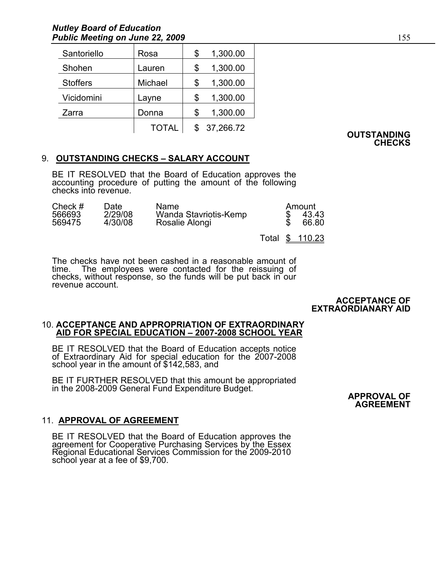| Santoriello     | Rosa         | \$ | 1,300.00  |
|-----------------|--------------|----|-----------|
| Shohen          | Lauren       | \$ | 1,300.00  |
| <b>Stoffers</b> | Michael      | S  | 1,300.00  |
| Vicidomini      | Layne        | S  | 1,300.00  |
| Zarra           | Donna        |    | 1,300.00  |
|                 | <b>TOTAL</b> |    | 37,266.72 |

**OUTSTANDING CHECKS** 

## 9. **OUTSTANDING CHECKS – SALARY ACCOUNT**

BE IT RESOLVED that the Board of Education approves the accounting procedure of putting the amount of the following checks into revenue.

| Check $#$        | Date:              | Name                                    | Amount         |
|------------------|--------------------|-----------------------------------------|----------------|
| 566693<br>569475 | 2/29/08<br>4/30/08 | Wanda Stavriotis-Kemp<br>Rosalie Alongi | 43.43<br>66.80 |
|                  |                    |                                         |                |

Total \$ 110.23

The checks have not been cashed in a reasonable amount of time. The employees were contacted for the reissuing of checks, without response, so the funds will be put back in our revenue account.

#### **ACCEPTANCE OF EXTRAORDIANARY AID**

# 10. **ACCEPTANCE AND APPROPRIATION OF EXTRAORDINARY AID FOR SPECIAL EDUCATION – 2007-2008 SCHOOL YEAR**

BE IT RESOLVED that the Board of Education accepts notice of Extraordinary Aid for special education for the 2007-2008 school year in the amount of \$142,583, and

BE IT FURTHER RESOLVED that this amount be appropriated in the 2008-2009 General Fund Expenditure Budget. **APPROVAL OF APPROVAL OF** 

**AGREEMENT**

## 11. **APPROVAL OF AGREEMENT**

BE IT RESOLVED that the Board of Education approves the agreement for Cooperative Purchasing Services by the Essex Regional Educational Services Commission for the 2009-2010 school year at a fee of \$9,700.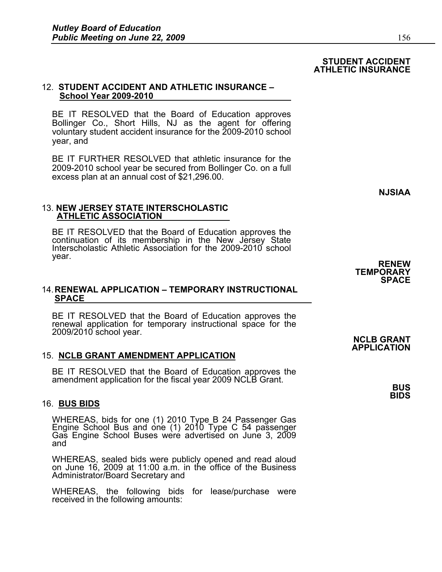#### **STUDENT ACCIDENT ATHLETIC INSURANCE**

#### 12. **STUDENT ACCIDENT AND ATHLETIC INSURANCE – School Year 2009-2010**

BE IT RESOLVED that the Board of Education approves Bollinger Co., Short Hills, NJ as the agent for offering voluntary student accident insurance for the 2009-2010 school year, and

BE IT FURTHER RESOLVED that athletic insurance for the 2009-2010 school year be secured from Bollinger Co. on a full excess plan at an annual cost of \$21,296.00.

**NJSIAA** 

#### 13. **NEW JERSEY STATE INTERSCHOLASTIC ATHLETIC ASSOCIATION**

BE IT RESOLVED that the Board of Education approves the continuation of its membership in the New Jersey State Interscholastic Athletic Association for the 2009-2010 school year. **RENEW** 

#### 14. **RENEWAL APPLICATION – TEMPORARY INSTRUCTIONAL SPACE**

BE IT RESOLVED that the Board of Education approves the renewal application for temporary instructional space for the 2009/2010 school year. **NCLB GRANT** 

### 15. **NCLB GRANT AMENDMENT APPLICATION**

BE IT RESOLVED that the Board of Education approves the amendment application for the fiscal year 2009 NCLB Grant. **BUS** 

#### 16. **BUS BIDS**

WHEREAS, bids for one (1) 2010 Type B 24 Passenger Gas Engine School Bus and one (1) 2010 Type C 54 passenger Gas Engine School Buses were advertised on June 3, 2009 and

WHEREAS, sealed bids were publicly opened and read aloud on June 16, 2009 at 11:00 a.m. in the office of the Business Administrator/Board Secretary and

WHEREAS, the following bids for lease/purchase were received in the following amounts:

# **TEMPORARY SPACE**

# **APPLICATION**

**BIDS**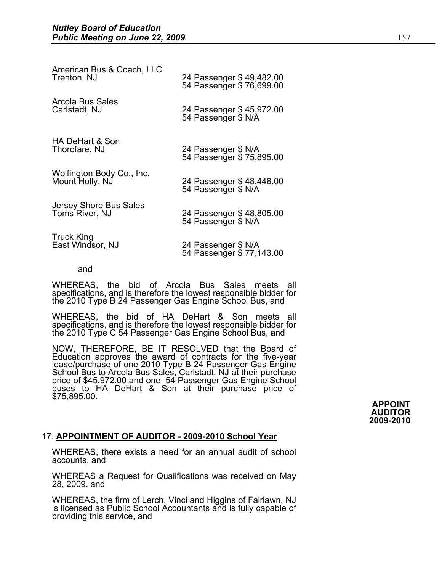| American Bus & Coach, LLC  | 24 Passenger \$49,482.00 |
|----------------------------|--------------------------|
| Trenton, NJ                | 54 Passenger \$76,699.00 |
| <b>Arcola Bus Sales</b>    | 24 Passenger \$45,972.00 |
| Carlstadt, NJ              | 54 Passenger \$ N/A      |
| <b>HA DeHart &amp; Son</b> | 24 Passenger \$ N/A      |
| Thorofare, NJ              | 54 Passenger \$75,895.00 |
| Wolfington Body Co., Inc.  | 24 Passenger \$48,448.00 |
| Mount Holly, NJ            | 54 Passenger \$ N/A      |
| Jersey Shore Bus Sales     | 24 Passenger \$48,805.00 |
| Toms River, NJ             | 54 Passenger \$ N/A      |
| <b>Truck King</b>          | 24 Passenger \$ N/A      |
| East Windsor, NJ           | 54 Passenger \$77,143.00 |

and

WHEREAS, the bid of Arcola Bus Sales meets all specifications, and is therefore the lowest responsible bidder for the 2010 Type B 24 Passenger Gas Engine School Bus, and

WHEREAS, the bid of HA DeHart & Son meets all specifications, and is therefore the lowest responsible bidder for the 2010 Type C 54 Passenger Gas Engine School Bus, and

NOW, THEREFORE, BE IT RESOLVED that the Board of Education approves the award of contracts for the five-year lease/purchase of one 2010 Type B 24 Passenger Gas Engine School Bus to Arcola Bus Sales, Carlstadt, NJ at their purchase price of \$45,972.00 and one 54 Passenger Gas Engine School buses to HA DeHart & Son at their purchase price of \$75,895.00.

**APPOINT AUDITOR 2009-2010** 

#### 17. **APPOINTMENT OF AUDITOR - 2009-2010 School Year**

WHEREAS, there exists a need for an annual audit of school accounts, and

WHEREAS a Request for Qualifications was received on May 28, 2009, and

WHEREAS, the firm of Lerch, Vinci and Higgins of Fairlawn, NJ is licensed as Public School Accountants and is fully capable of providing this service, and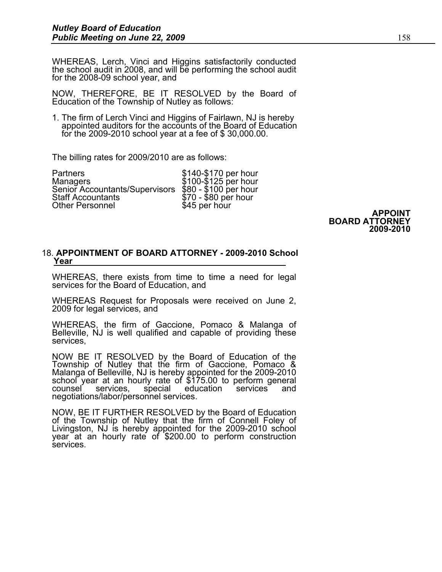WHEREAS, Lerch, Vinci and Higgins satisfactorily conducted the school audit in 2008, and will be performing the school audit for the 2008-09 school year, and

NOW, THEREFORE, BE IT RESOLVED by the Board of Education of the Township of Nutley as follows:

1. The firm of Lerch Vinci and Higgins of Fairlawn, NJ is hereby appointed auditors for the accounts of the Board of Education for the 2009-2010 school year at a fee of \$ 30,000.00.

The billing rates for 2009/2010 are as follows:

Partners \$140-\$170 per hour Managers **\$100-\$125** per hour Senior Accountants/Supervisors \$80 - \$100 per hour \$70 - \$80 per hour<br>\$45 per hour Other Personnel

 **APPOINT BOARD ATTORNEY 2009-2010** 

# 18. **APPOINTMENT OF BOARD ATTORNEY - 2009-2010 School Year**

WHEREAS, there exists from time to time a need for legal services for the Board of Education, and

WHEREAS Request for Proposals were received on June 2, 2009 for legal services, and

WHEREAS, the firm of Gaccione, Pomaco & Malanga of Belleville, NJ is well qualified and capable of providing these services,

NOW BE IT RESOLVED by the Board of Education of the Township of Nutley that the firm of Gaccione, Pomaco & Malanga of Belleville, NJ is hereby appointed for the 2009-2010 school year at an hourly rate of \$175.00 to perform general counsel services, special education services and negotiations/labor/personnel services.

NOW, BE IT FURTHER RESOLVED by the Board of Education of the Township of Nutley that the firm of Connell Foley of Livingston, NJ is hereby appointed for the 2009-2010 school year at an hourly rate of \$200.00 to perform construction services.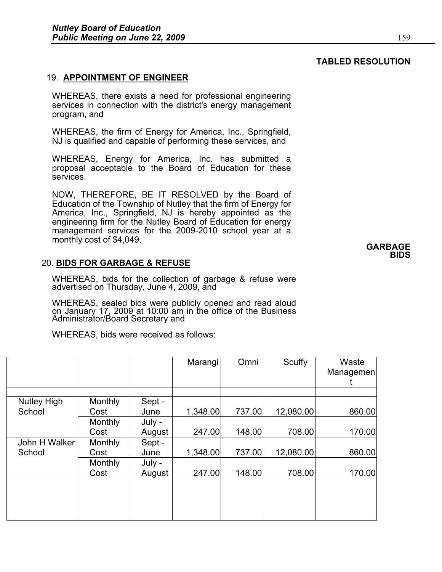# **TABLED RESOLUTION** 19. **APPOINTMENT OF ENGINEER**

WHEREAS, there exists a need for professional engineering services in connection with the district's energy management program, and

WHEREAS, the firm of Energy for America, Inc., Springfield, NJ is qualified and capable of performing these services, and

WHEREAS, Energy for America, Inc. has submitted a proposal acceptable to the Board of Education for these services.

NOW, THEREFORE, BE IT RESOLVED by the Board of Education of the Township of Nutley that the firm of Energy for America, Inc., Springfield, NJ is hereby appointed as the engineering firm for the Nutley Board of Education for energy management services for the 2009-2010 school year at a monthly cost of \$4,049. **GARBAGE** 

## 20. **BIDS FOR GARBAGE & REFUSE**

WHEREAS, bids for the collection of garbage & refuse were advertised on Thursday, June 4, 2009, and

WHEREAS, sealed bids were publicly opened and read aloud on January 17, 2009 at 10:00 am in the office of the Business Administrator/Board Secretary and

WHEREAS, bids were received as follows:

|                    |         |        | Marangi  | Omni   | Scuffy    | Waste<br>Managemen |
|--------------------|---------|--------|----------|--------|-----------|--------------------|
|                    |         |        |          |        |           |                    |
| <b>Nutley High</b> | Monthly | Sept - |          |        |           |                    |
| School             | Cost    | June   | 1,348.00 | 737.00 | 12,080.00 | 860.00             |
|                    | Monthly | July - |          |        |           |                    |
|                    | Cost    | August | 247.00   | 148.00 | 708.00    | 170.00             |
| John H Walker      | Monthly | Sept - |          |        |           |                    |
| School             | Cost    | June   | 1,348.00 | 737.00 | 12,080.00 | 860.00             |
|                    | Monthly | July - |          |        |           |                    |
|                    | Cost    | August | 247.00   | 148.00 | 708.00    | 170.00             |
|                    |         |        |          |        |           |                    |
|                    |         |        |          |        |           |                    |

# **BIDS**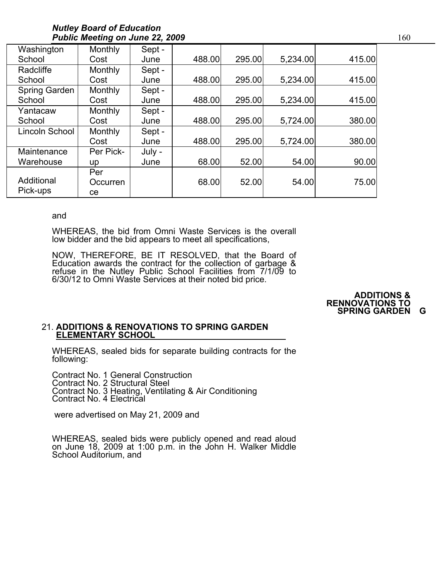| Washington     | Monthly   | Sept - |        |        |          |        |
|----------------|-----------|--------|--------|--------|----------|--------|
| School         | Cost      | June   | 488.00 | 295.00 | 5,234.00 | 415.00 |
| Radcliffe      | Monthly   | Sept - |        |        |          |        |
| School         | Cost      | June   | 488.00 | 295.00 | 5,234.00 | 415.00 |
| Spring Garden  | Monthly   | Sept - |        |        |          |        |
| School         | Cost      | June   | 488.00 | 295.00 | 5,234.00 | 415.00 |
| Yantacaw       | Monthly   | Sept - |        |        |          |        |
| School         | Cost      | June   | 488.00 | 295.00 | 5,724.00 | 380.00 |
| Lincoln School | Monthly   | Sept - |        |        |          |        |
|                | Cost      | June   | 488.00 | 295.00 | 5,724.00 | 380.00 |
| Maintenance    | Per Pick- | July - |        |        |          |        |
| Warehouse      | up        | June   | 68.00  | 52.00  | 54.00    | 90.00  |
|                | Per       |        |        |        |          |        |
| Additional     | Occurren  |        | 68.00  | 52.00  | 54.00    | 75.00  |
| Pick-ups       | ce        |        |        |        |          |        |

#### and

WHEREAS, the bid from Omni Waste Services is the overall low bidder and the bid appears to meet all specifications,

NOW, THEREFORE, BE IT RESOLVED, that the Board of Education awards the contract for the collection of garbage & refuse in the Nutley Public School Facilities from 7/1/09 to 6/30/12 to Omni Waste Services at their noted bid price.

#### **ADDITIONS & RENNOVATIONS TO SPRING GARDEN G**

#### 21. **ADDITIONS & RENOVATIONS TO SPRING GARDEN ELEMENTARY SCHOOL**

WHEREAS, sealed bids for separate building contracts for the following:

Contract No. 1 General Construction Contract No. 2 Structural Steel Contract No. 3 Heating, Ventilating & Air Conditioning Contract No. 4 Electrical

were advertised on May 21, 2009 and

WHEREAS, sealed bids were publicly opened and read aloud on June 18, 2009 at 1:00 p.m. in the John H. Walker Middle School Auditorium, and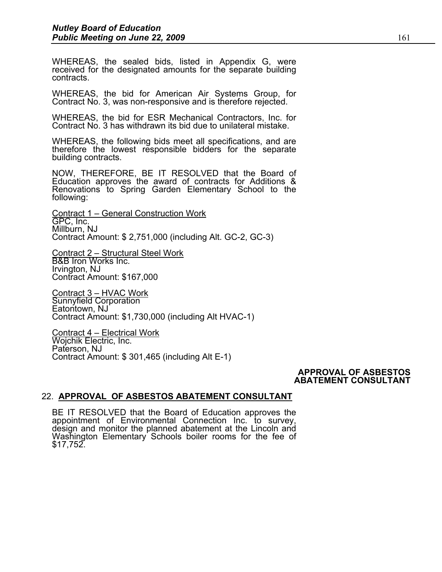WHEREAS, the sealed bids, listed in Appendix G, were received for the designated amounts for the separate building contracts.

WHEREAS, the bid for American Air Systems Group, for Contract No. 3, was non-responsive and is therefore rejected.

WHEREAS, the bid for ESR Mechanical Contractors, Inc. for Contract No. 3 has withdrawn its bid due to unilateral mistake.

WHEREAS, the following bids meet all specifications, and are therefore the lowest responsible bidders for the separate building contracts.

NOW, THEREFORE, BE IT RESOLVED that the Board of Education approves the award of contracts for Additions & Renovations to Spring Garden Elementary School to the following:

Contract 1 – General Construction Work GPC, Inc. Millburn, NJ Contract Amount: \$ 2,751,000 (including Alt. GC-2, GC-3)

Contract 2 – Structural Steel Work B&B Iron Works Inc. Irvington, NJ Contract Amount: \$167,000

Contract 3 – HVAC Work Sunnyfield Corporation Eatontown, NJ Contract Amount: \$1,730,000 (including Alt HVAC-1)

Contract 4 – Electrical Work Wojchik Electric, Inc. Paterson, NJ Contract Amount: \$ 301,465 (including Alt E-1)

#### **APPROVAL OF ASBESTOS ABATEMENT CONSULTANT**

## 22. **APPROVAL OF ASBESTOS ABATEMENT CONSULTANT**

BE IT RESOLVED that the Board of Education approves the appointment of Environmental Connection Inc. to survey, design and monitor the planned abatement at the Lincoln and Washington Elementary Schools boiler rooms for the fee of \$17,752.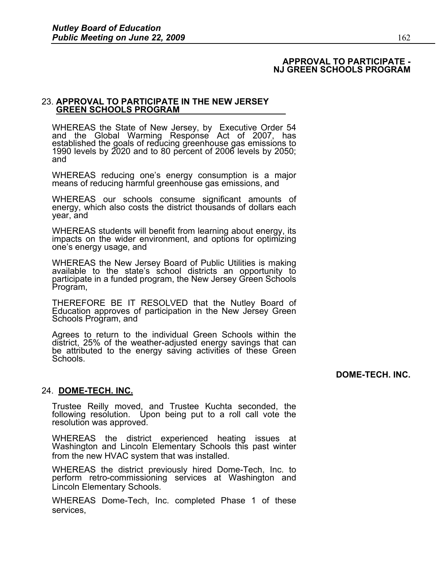#### **APPROVAL TO PARTICIPATE - NJ GREEN SCHOOLS PROGRAM**

# 23. **APPROVAL TO PARTICIPATE IN THE NEW JERSEY GREEN SCHOOLS PROGRAM**

WHEREAS the State of New Jersey, by Executive Order 54 and the Global Warming Response Act of 2007, has established the goals of reducing greenhouse gas emissions to 1990 levels by 2020 and to 80 percent of 2006 levels by 2050; and

WHEREAS reducing one's energy consumption is a major means of reducing harmful greenhouse gas emissions, and

WHEREAS our schools consume significant amounts of energy, which also costs the district thousands of dollars each year, and

WHEREAS students will benefit from learning about energy, its impacts on the wider environment, and options for optimizing one's energy usage, and

WHEREAS the New Jersey Board of Public Utilities is making available to the state's school districts an opportunity to participate in a funded program, the New Jersey Green Schools Program,

THEREFORE BE IT RESOLVED that the Nutley Board of Education approves of participation in the New Jersey Green Schools Program, and

Agrees to return to the individual Green Schools within the district, 25% of the weather-adjusted energy savings that can be attributed to the energy saving activities of these Green Schools.

**DOME-TECH. INC.** 

### 24. **DOME-TECH. INC.**

Trustee Reilly moved, and Trustee Kuchta seconded, the following resolution. Upon being put to a roll call vote the resolution was approved.

WHEREAS the district experienced heating issues at Washington and Lincoln Elementary Schools this past winter from the new HVAC system that was installed.

WHEREAS the district previously hired Dome-Tech, Inc. to perform retro-commissioning services at Washington and Lincoln Elementary Schools.

WHEREAS Dome-Tech, Inc. completed Phase 1 of these services,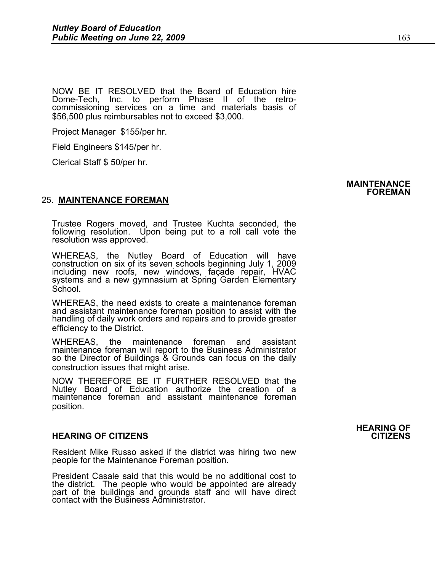NOW BE IT RESOLVED that the Board of Education hire Dome-Tech, Inc. to perform Phase II of the retrocommissioning services on a time and materials basis of \$56,500 plus reimbursables not to exceed \$3,000.

Project Manager \$155/per hr.

Field Engineers \$145/per hr.

Clerical Staff \$ 50/per hr.

### 25. **MAINTENANCE FOREMAN**

Trustee Rogers moved, and Trustee Kuchta seconded, the following resolution. Upon being put to a roll call vote the resolution was approved.

WHEREAS, the Nutley Board of Education will have construction on six of its seven schools beginning July 1, 2009 including new roofs, new windows, façade repair, HVAC systems and a new gymnasium at Spring Garden Elementary School.

WHEREAS, the need exists to create a maintenance foreman and assistant maintenance foreman position to assist with the handling of daily work orders and repairs and to provide greater efficiency to the District.

WHEREAS, the maintenance foreman and assistant maintenance foreman will report to the Business Administrator so the Director of Buildings & Grounds can focus on the daily construction issues that might arise.

NOW THEREFORE BE IT FURTHER RESOLVED that the Nutley Board of Education authorize the creation of a maintenance foreman and assistant maintenance foreman position.

#### **HEARING OF CITIZENS CITIZENS**

Resident Mike Russo asked if the district was hiring two new people for the Maintenance Foreman position.

President Casale said that this would be no additional cost to the district. The people who would be appointed are already part of the buildings and grounds staff and will have direct contact with the Business Administrator.

**HEARING OF** 

# **MAINTENANCE FOREMAN**